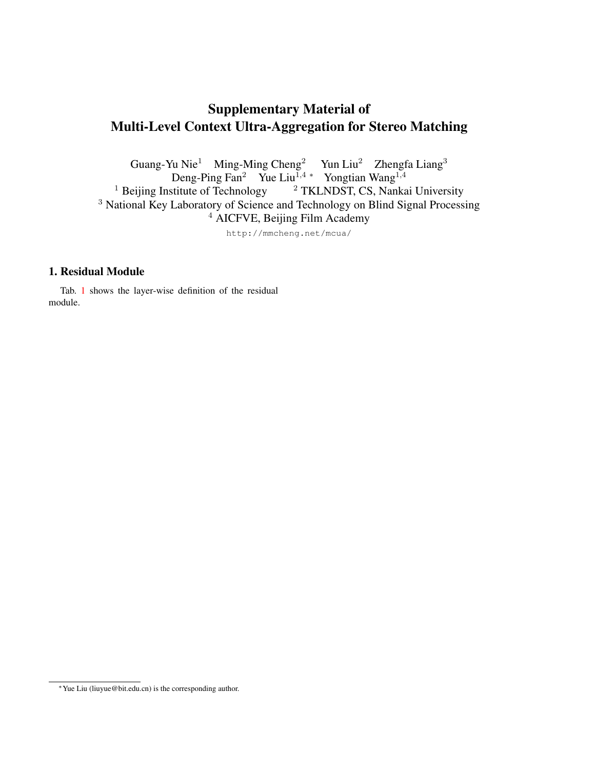## Supplementary Material of Multi-Level Context Ultra-Aggregation for Stereo Matching

Guang-Yu Nie<sup>1</sup> Ming-Ming Cheng<sup>2</sup> Yun Liu<sup>2</sup> Zhengfa Liang<sup>3</sup> Deng-Ping Fan<sup>2</sup> Yue Liu<sup>1,4</sup> \* Yongtian Wang<sup>1,4</sup><br><sup>1</sup> Beijing Institute of Technology <sup>2</sup> TKLNDST, CS, Nanka <sup>2</sup> TKLNDST, CS, Nankai University <sup>3</sup> National Key Laboratory of Science and Technology on Blind Signal Processing <sup>4</sup> AICFVE, Beijing Film Academy http://mmcheng.net/mcua/

## 1. Residual Module

Tab. [1](#page-1-0) shows the layer-wise definition of the residual module.

<sup>∗</sup>Yue Liu (liuyue@bit.edu.cn) is the corresponding author.